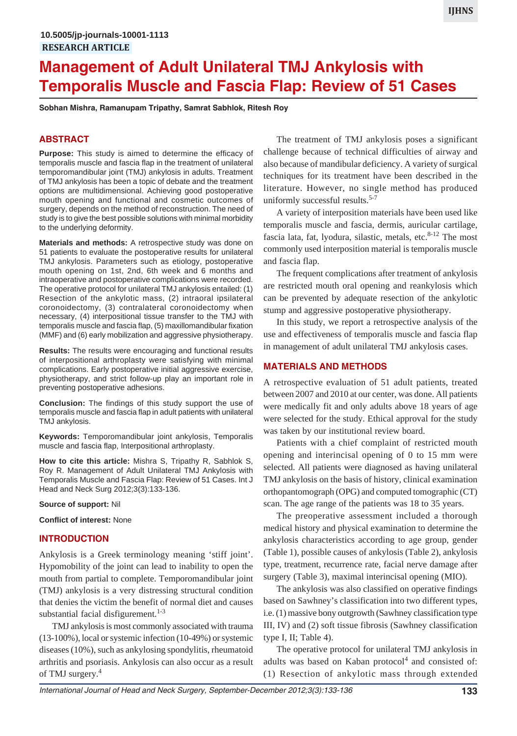# **Management of Adult Unilateral TMJ Ankylosis with Temporalis Muscle and Fascia Flap: Review of 51 Cases**

**Sobhan Mishra, Ramanupam Tripathy, Samrat Sabhlok, Ritesh Roy**

## **ABSTRACT**

**Purpose:** This study is aimed to determine the efficacy of temporalis muscle and fascia flap in the treatment of unilateral temporomandibular joint (TMJ) ankylosis in adults. Treatment of TMJ ankylosis has been a topic of debate and the treatment options are multidimensional. Achieving good postoperative mouth opening and functional and cosmetic outcomes of surgery, depends on the method of reconstruction. The need of study is to give the best possible solutions with minimal morbidity to the underlying deformity.

**Materials and methods:** A retrospective study was done on 51 patients to evaluate the postoperative results for unilateral TMJ ankylosis. Parameters such as etiology, postoperative mouth opening on 1st, 2nd, 6th week and 6 months and intraoperative and postoperative complications were recorded. The operative protocol for unilateral TMJ ankylosis entailed: (1) Resection of the ankylotic mass, (2) intraoral ipsilateral coronoidectomy, (3) contralateral coronoidectomy when necessary, (4) interpositional tissue transfer to the TMJ with temporalis muscle and fascia flap, (5) maxillomandibular fixation (MMF) and (6) early mobilization and aggressive physiotherapy.

**Results:** The results were encouraging and functional results of interpositional arthroplasty were satisfying with minimal complications. Early postoperative initial aggressive exercise, physiotherapy, and strict follow-up play an important role in preventing postoperative adhesions.

**Conclusion:** The findings of this study support the use of temporalis muscle and fascia flap in adult patients with unilateral TMJ ankylosis.

**Keywords:** Temporomandibular joint ankylosis, Temporalis muscle and fascia flap, Interpositional arthroplasty.

**How to cite this article:** Mishra S, Tripathy R, Sabhlok S, Roy R. Management of Adult Unilateral TMJ Ankylosis with Temporalis Muscle and Fascia Flap: Review of 51 Cases. Int J Head and Neck Surg 2012;3(3):133-136.

#### **Source of support:** Nil

**Conflict of interest:** None

## **INTRODUCTION**

Ankylosis is a Greek terminology meaning 'stiff joint'. Hypomobility of the joint can lead to inability to open the mouth from partial to complete. Temporomandibular joint (TMJ) ankylosis is a very distressing structural condition that denies the victim the benefit of normal diet and causes substantial facial disfigurement. $1-3$ 

TMJ ankylosis is most commonly associated with trauma (13-100%), local or systemic infection (10-49%) or systemic diseases (10%), such as ankylosing spondylitis, rheumatoid arthritis and psoriasis. Ankylosis can also occur as a result of TMJ surgery.<sup>4</sup>

The treatment of TMJ ankylosis poses a significant challenge because of technical difficulties of airway and also because of mandibular deficiency. A variety of surgical techniques for its treatment have been described in the literature. However, no single method has produced uniformly successful results.<sup>5-7</sup>

A variety of interposition materials have been used like temporalis muscle and fascia, dermis, auricular cartilage, fascia lata, fat, lyodura, silastic, metals, etc. $8-12$  The most commonly used interposition material is temporalis muscle and fascia flap.

The frequent complications after treatment of ankylosis are restricted mouth oral opening and reankylosis which can be prevented by adequate resection of the ankylotic stump and aggressive postoperative physiotherapy.

In this study, we report a retrospective analysis of the use and effectiveness of temporalis muscle and fascia flap in management of adult unilateral TMJ ankylosis cases.

#### **MATERIALS AND METHODS**

A retrospective evaluation of 51 adult patients, treated between 2007 and 2010 at our center, was done. All patients were medically fit and only adults above 18 years of age were selected for the study. Ethical approval for the study was taken by our institutional review board.

Patients with a chief complaint of restricted mouth opening and interincisal opening of 0 to 15 mm were selected. All patients were diagnosed as having unilateral TMJ ankylosis on the basis of history, clinical examination orthopantomograph (OPG) and computed tomographic (CT) scan. The age range of the patients was 18 to 35 years.

The preoperative assessment included a thorough medical history and physical examination to determine the ankylosis characteristics according to age group, gender (Table 1), possible causes of ankylosis (Table 2), ankylosis type, treatment, recurrence rate, facial nerve damage after surgery (Table 3), maximal interincisal opening (MIO).

The ankylosis was also classified on operative findings based on Sawhney's classification into two different types, i.e. (1) massive bony outgrowth (Sawhney classification type III, IV) and (2) soft tissue fibrosis (Sawhney classification type I, II; Table 4).

The operative protocol for unilateral TMJ ankylosis in adults was based on Kaban protocol<sup>4</sup> and consisted of: (1) Resection of ankylotic mass through extended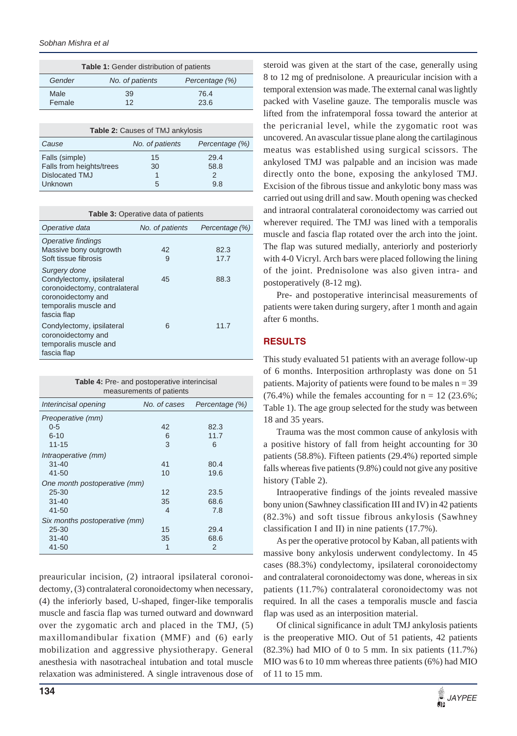| <b>Table 1:</b> Gender distribution of patients |                 |                |  |  |
|-------------------------------------------------|-----------------|----------------|--|--|
| Gender                                          | No. of patients | Percentage (%) |  |  |
| Male<br>Female                                  | 39<br>12        | 76.4<br>23.6   |  |  |
|                                                 |                 |                |  |  |

| <b>Table 2: Causes of TMJ ankylosis</b> |                 |                |  |  |  |
|-----------------------------------------|-----------------|----------------|--|--|--|
| Cause                                   | No. of patients | Percentage (%) |  |  |  |
| Falls (simple)                          | 15              | 29.4           |  |  |  |
| Falls from heights/trees                | 30              | 58.8           |  |  |  |
| Dislocated TMJ                          |                 |                |  |  |  |
| Unknown                                 | 5               | 9.8            |  |  |  |

| <b>Table 3: Operative data of patients</b>                                                                                               |                 |                |  |  |
|------------------------------------------------------------------------------------------------------------------------------------------|-----------------|----------------|--|--|
| Operative data                                                                                                                           | No. of patients | Percentage (%) |  |  |
| Operative findings<br>Massive bony outgrowth<br>Soft tissue fibrosis                                                                     | 42<br>9         | 82.3<br>17.7   |  |  |
| Surgery done<br>Condylectomy, ipsilateral<br>coronoidectomy, contralateral<br>coronoidectomy and<br>temporalis muscle and<br>fascia flap | 45              | 88.3           |  |  |
| Condylectomy, ipsilateral<br>coronoidectomy and<br>temporalis muscle and<br>fascia flap                                                  | 6               | 11.7           |  |  |

| Table 4: Pre- and postoperative interincisal |  |  |
|----------------------------------------------|--|--|
| measurements of patients                     |  |  |

| Interincisal opening          | No. of cases | Percentage (%) |
|-------------------------------|--------------|----------------|
| Preoperative (mm)             |              |                |
| $0 - 5$                       | 42           | 82.3           |
| $6 - 10$                      | 6            | 11.7           |
| $11 - 15$                     | 3            | 6              |
| Intraoperative (mm)           |              |                |
| $31 - 40$                     | 41           | 80.4           |
| 41-50                         | 10           | 19.6           |
| One month postoperative (mm)  |              |                |
| $25 - 30$                     | 12           | 23.5           |
| $31 - 40$                     | 35           | 68.6           |
| 41-50                         | 4            | 7.8            |
| Six months postoperative (mm) |              |                |
| 25-30                         | 15           | 29.4           |
| $31 - 40$                     | 35           | 68.6           |
| 41-50                         | 1            | 2              |

preauricular incision, (2) intraoral ipsilateral coronoidectomy, (3) contralateral coronoidectomy when necessary, (4) the inferiorly based, U-shaped, finger-like temporalis muscle and fascia flap was turned outward and downward over the zygomatic arch and placed in the TMJ, (5) maxillomandibular fixation (MMF) and (6) early mobilization and aggressive physiotherapy. General anesthesia with nasotracheal intubation and total muscle relaxation was administered. A single intravenous dose of steroid was given at the start of the case, generally using 8 to 12 mg of prednisolone. A preauricular incision with a temporal extension was made. The external canal was lightly packed with Vaseline gauze. The temporalis muscle was lifted from the infratemporal fossa toward the anterior at the pericranial level, while the zygomatic root was uncovered. An avascular tissue plane along the cartilaginous meatus was established using surgical scissors. The ankylosed TMJ was palpable and an incision was made directly onto the bone, exposing the ankylosed TMJ. Excision of the fibrous tissue and ankylotic bony mass was carried out using drill and saw. Mouth opening was checked and intraoral contralateral coronoidectomy was carried out wherever required. The TMJ was lined with a temporalis muscle and fascia flap rotated over the arch into the joint. The flap was sutured medially, anteriorly and posteriorly with 4-0 Vicryl. Arch bars were placed following the lining of the joint. Prednisolone was also given intra- and postoperatively (8-12 mg).

Pre- and postoperative interincisal measurements of patients were taken during surgery, after 1 month and again after 6 months.

# **RESULTS**

This study evaluated 51 patients with an average follow-up of 6 months. Interposition arthroplasty was done on 51 patients. Majority of patients were found to be males  $n = 39$  $(76.4\%)$  while the females accounting for  $n = 12$  (23.6%; Table 1). The age group selected for the study was between 18 and 35 years.

Trauma was the most common cause of ankylosis with a positive history of fall from height accounting for 30 patients (58.8%). Fifteen patients (29.4%) reported simple falls whereas five patients (9.8%) could not give any positive history (Table 2).

Intraoperative findings of the joints revealed massive bony union (Sawhney classification III and IV) in 42 patients (82.3%) and soft tissue fibrous ankylosis (Sawhney classification I and II) in nine patients (17.7%).

As per the operative protocol by Kaban, all patients with massive bony ankylosis underwent condylectomy. In 45 cases (88.3%) condylectomy, ipsilateral coronoidectomy and contralateral coronoidectomy was done, whereas in six patients (11.7%) contralateral coronoidectomy was not required. In all the cases a temporalis muscle and fascia flap was used as an interposition material.

Of clinical significance in adult TMJ ankylosis patients is the preoperative MIO. Out of 51 patients, 42 patients  $(82.3\%)$  had MIO of 0 to 5 mm. In six patients  $(11.7\%)$ MIO was 6 to 10 mm whereas three patients (6%) had MIO of 11 to 15 mm.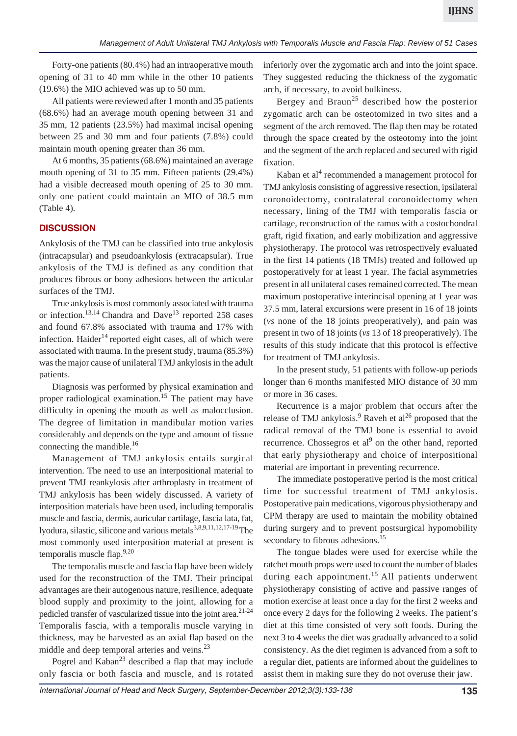Forty-one patients (80.4%) had an intraoperative mouth opening of 31 to 40 mm while in the other 10 patients (19.6%) the MIO achieved was up to 50 mm.

All patients were reviewed after 1 month and 35 patients (68.6%) had an average mouth opening between 31 and 35 mm, 12 patients (23.5%) had maximal incisal opening between 25 and 30 mm and four patients (7.8%) could maintain mouth opening greater than 36 mm.

At 6 months, 35 patients (68.6%) maintained an average mouth opening of 31 to 35 mm. Fifteen patients (29.4%) had a visible decreased mouth opening of 25 to 30 mm. only one patient could maintain an MIO of 38.5 mm (Table 4).

## **DISCUSSION**

Ankylosis of the TMJ can be classified into true ankylosis (intracapsular) and pseudoankylosis (extracapsular). True ankylosis of the TMJ is defined as any condition that produces fibrous or bony adhesions between the articular surfaces of the TMJ.

True ankylosis is most commonly associated with trauma or infection.<sup>13,14</sup> Chandra and Dave<sup>13</sup> reported 258 cases and found 67.8% associated with trauma and 17% with infection. Haider<sup>14</sup> reported eight cases, all of which were associated with trauma. In the present study, trauma (85.3%) was the major cause of unilateral TMJ ankylosis in the adult patients.

Diagnosis was performed by physical examination and proper radiological examination.<sup>15</sup> The patient may have difficulty in opening the mouth as well as malocclusion. The degree of limitation in mandibular motion varies considerably and depends on the type and amount of tissue connecting the mandible.<sup>16</sup>

Management of TMJ ankylosis entails surgical intervention. The need to use an interpositional material to prevent TMJ reankylosis after arthroplasty in treatment of TMJ ankylosis has been widely discussed. A variety of interposition materials have been used, including temporalis muscle and fascia, dermis, auricular cartilage, fascia lata, fat, lyodura, silastic, silicone and various metals<sup>3,8,9,11,12,17-19</sup> The most commonly used interposition material at present is temporalis muscle flap.<sup>9,20</sup>

The temporalis muscle and fascia flap have been widely used for the reconstruction of the TMJ. Their principal advantages are their autogenous nature, resilience, adequate blood supply and proximity to the joint, allowing for a pedicled transfer of vascularized tissue into the joint area.21-24 Temporalis fascia, with a temporalis muscle varying in thickness, may be harvested as an axial flap based on the middle and deep temporal arteries and veins.<sup>23</sup>

Pogrel and Kaban<sup>23</sup> described a flap that may include only fascia or both fascia and muscle, and is rotated inferiorly over the zygomatic arch and into the joint space. They suggested reducing the thickness of the zygomatic arch, if necessary, to avoid bulkiness.

Bergey and Braun<sup>25</sup> described how the posterior zygomatic arch can be osteotomized in two sites and a segment of the arch removed. The flap then may be rotated through the space created by the osteotomy into the joint and the segment of the arch replaced and secured with rigid fixation.

Kaban et al<sup>4</sup> recommended a management protocol for TMJ ankylosis consisting of aggressive resection, ipsilateral coronoidectomy, contralateral coronoidectomy when necessary, lining of the TMJ with temporalis fascia or cartilage, reconstruction of the ramus with a costochondral graft, rigid fixation, and early mobilization and aggressive physiotherapy. The protocol was retrospectively evaluated in the first 14 patients (18 TMJs) treated and followed up postoperatively for at least 1 year. The facial asymmetries present in all unilateral cases remained corrected. The mean maximum postoperative interincisal opening at 1 year was 37.5 mm, lateral excursions were present in 16 of 18 joints (*vs* none of the 18 joints preoperatively), and pain was present in two of 18 joints (*vs* 13 of 18 preoperatively). The results of this study indicate that this protocol is effective for treatment of TMJ ankylosis.

In the present study, 51 patients with follow-up periods longer than 6 months manifested MIO distance of 30 mm or more in 36 cases.

Recurrence is a major problem that occurs after the release of TMJ ankylosis.<sup>9</sup> Raveh et al<sup>26</sup> proposed that the radical removal of the TMJ bone is essential to avoid recurrence. Chossegros et al<sup>9</sup> on the other hand, reported that early physiotherapy and choice of interpositional material are important in preventing recurrence.

The immediate postoperative period is the most critical time for successful treatment of TMJ ankylosis. Postoperative pain medications, vigorous physiotherapy and CPM therapy are used to maintain the mobility obtained during surgery and to prevent postsurgical hypomobility secondary to fibrous adhesions.<sup>15</sup>

The tongue blades were used for exercise while the ratchet mouth props were used to count the number of blades during each appointment.<sup>15</sup> All patients underwent physiotherapy consisting of active and passive ranges of motion exercise at least once a day for the first 2 weeks and once every 2 days for the following 2 weeks. The patient's diet at this time consisted of very soft foods. During the next 3 to 4 weeks the diet was gradually advanced to a solid consistency. As the diet regimen is advanced from a soft to a regular diet, patients are informed about the guidelines to assist them in making sure they do not overuse their jaw.